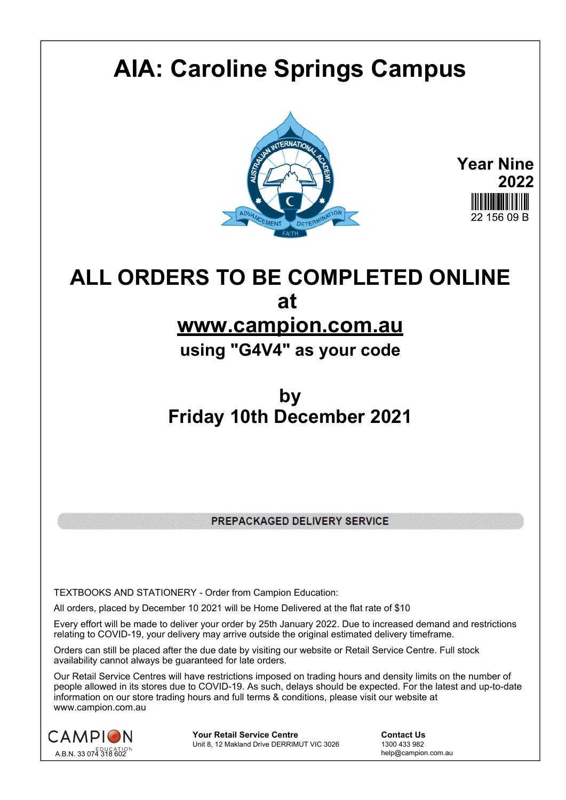## **AIA: Caroline Springs Campus**



**Year Nine 2022** 22 156 09 B

## **ALL ORDERS TO BE COMPLETED ONLINE at**

## **www.campion.com.au**

**using "G4V4" as your code**

## **by Friday 10th December 2021**

PREPACKAGED DELIVERY SERVICE

TEXTBOOKS AND STATIONERY - Order from Campion Education:

All orders, placed by December 10 2021 will be Home Delivered at the flat rate of \$10

Every effort will be made to deliver your order by 25th January 2022. Due to increased demand and restrictions relating to COVID-19, your delivery may arrive outside the original estimated delivery timeframe.

Orders can still be placed after the due date by visiting our website or Retail Service Centre. Full stock availability cannot always be guaranteed for late orders.

Our Retail Service Centres will have restrictions imposed on trading hours and density limits on the number of people allowed in its stores due to COVID-19. As such, delays should be expected. For the latest and up-to-date information on our store trading hours and full terms & conditions, please visit our website at www.campion.com.au



**Your Retail Service Centre Contact Us**<br>
Unit 8, 12 Makland Drive DERRIMUT VIC 3026
1300 433 982 Unit 8, 12 Makland Drive DERRIMUT VIC 3026

help@campion.com.au